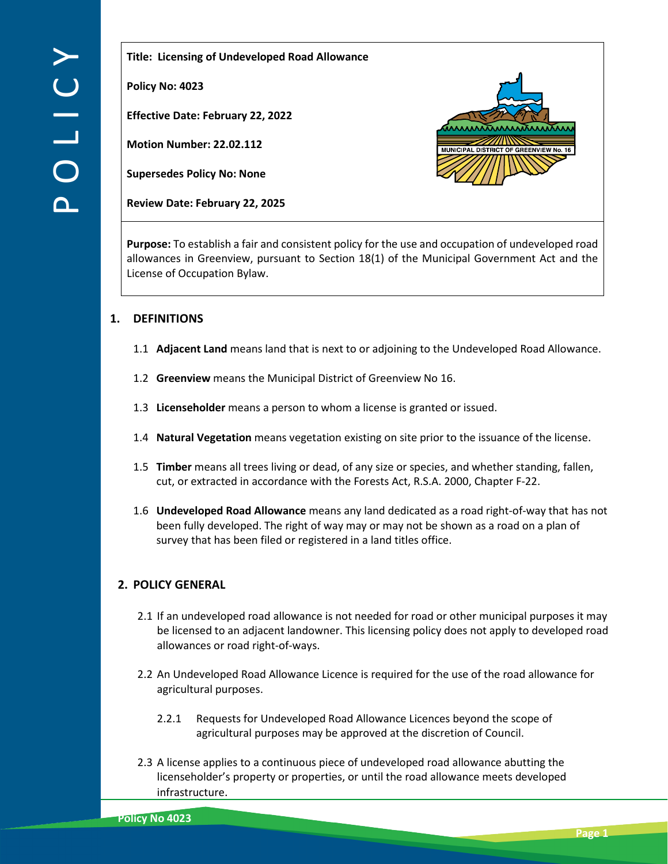**Title: Licensing of Undeveloped Road Allowance** 

**Policy No: 4023**

**Effective Date: February 22, 2022**

**Motion Number: 22.02.112**

**Supersedes Policy No: None**

**Review Date: February 22, 2025**



**Purpose:** To establish a fair and consistent policy for the use and occupation of undeveloped road allowances in Greenview, pursuant to Section 18(1) of the Municipal Government Act and the License of Occupation Bylaw.

# **1. DEFINITIONS**

- 1.1 **Adjacent Land** means land that is next to or adjoining to the Undeveloped Road Allowance.
- 1.2 **Greenview** means the Municipal District of Greenview No 16.
- 1.3 **Licenseholder** means a person to whom a license is granted or issued.
- 1.4 **Natural Vegetation** means vegetation existing on site prior to the issuance of the license.
- 1.5 **Timber** means all trees living or dead, of any size or species, and whether standing, fallen, cut, or extracted in accordance with the Forests Act, R.S.A. 2000, Chapter F-22.
- 1.6 **Undeveloped Road Allowance** means any land dedicated as a road right-of-way that has not been fully developed. The right of way may or may not be shown as a road on a plan of survey that has been filed or registered in a land titles office.

# **2. POLICY GENERAL**

- 2.1 If an undeveloped road allowance is not needed for road or other municipal purposes it may be licensed to an adjacent landowner. This licensing policy does not apply to developed road allowances or road right-of-ways.
- 2.2 An Undeveloped Road Allowance Licence is required for the use of the road allowance for agricultural purposes.
	- 2.2.1 Requests for Undeveloped Road Allowance Licences beyond the scope of agricultural purposes may be approved at the discretion of Council.
- 2.3 A license applies to a continuous piece of undeveloped road allowance abutting the licenseholder's property or properties, or until the road allowance meets developed infrastructure.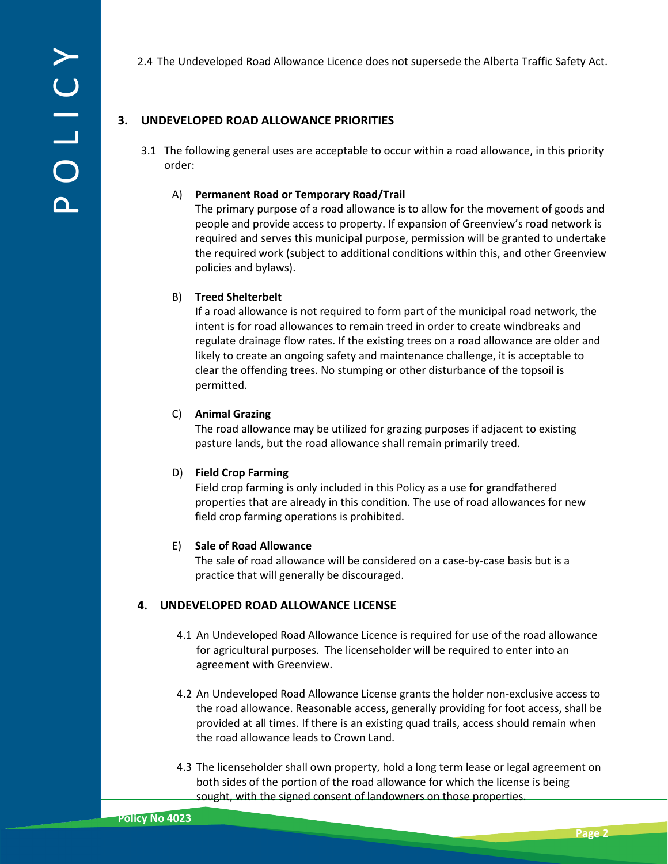2.4 The Undeveloped Road Allowance Licence does not supersede the Alberta Traffic Safety Act.

## **3. UNDEVELOPED ROAD ALLOWANCE PRIORITIES**

3.1 The following general uses are acceptable to occur within a road allowance, in this priority order:

#### A) **Permanent Road or Temporary Road/Trail**

The primary purpose of a road allowance is to allow for the movement of goods and people and provide access to property. If expansion of Greenview's road network is required and serves this municipal purpose, permission will be granted to undertake the required work (subject to additional conditions within this, and other Greenview policies and bylaws).

### B) **Treed Shelterbelt**

If a road allowance is not required to form part of the municipal road network, the intent is for road allowances to remain treed in order to create windbreaks and regulate drainage flow rates. If the existing trees on a road allowance are older and likely to create an ongoing safety and maintenance challenge, it is acceptable to clear the offending trees. No stumping or other disturbance of the topsoil is permitted.

### C) **Animal Grazing**

The road allowance may be utilized for grazing purposes if adjacent to existing pasture lands, but the road allowance shall remain primarily treed.

#### D) **Field Crop Farming**

Field crop farming is only included in this Policy as a use for grandfathered properties that are already in this condition. The use of road allowances for new field crop farming operations is prohibited.

#### E) **Sale of Road Allowance**

The sale of road allowance will be considered on a case-by-case basis but is a practice that will generally be discouraged.

## **4. UNDEVELOPED ROAD ALLOWANCE LICENSE**

- 4.1 An Undeveloped Road Allowance Licence is required for use of the road allowance for agricultural purposes. The licenseholder will be required to enter into an agreement with Greenview.
- 4.2 An Undeveloped Road Allowance License grants the holder non-exclusive access to the road allowance. Reasonable access, generally providing for foot access, shall be provided at all times. If there is an existing quad trails, access should remain when the road allowance leads to Crown Land.
- 4.3 The licenseholder shall own property, hold a long term lease or legal agreement on both sides of the portion of the road allowance for which the license is being sought, with the signed consent of landowners on those properties.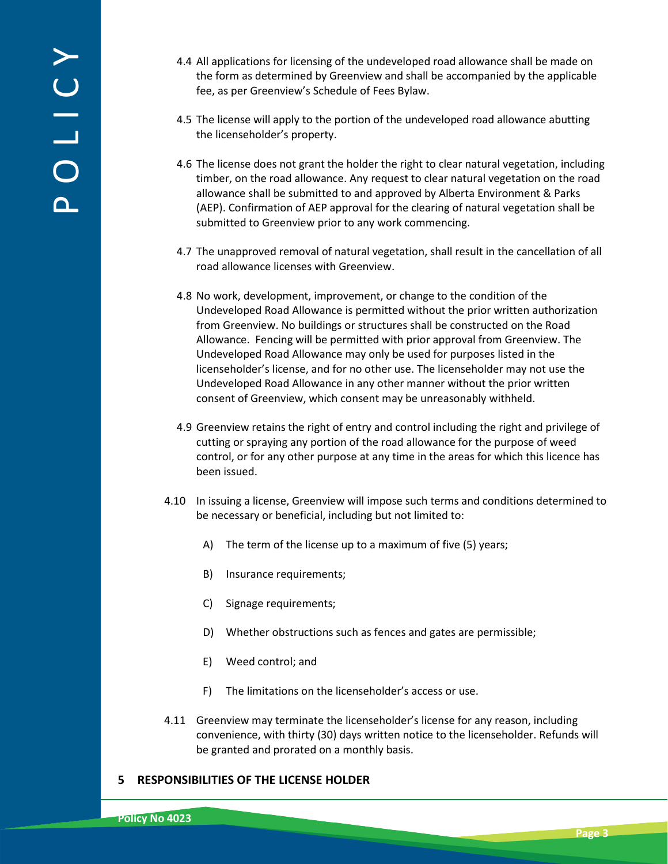- 4.4 All applications for licensing of the undeveloped road allowance shall be made on the form as determined by Greenview and shall be accompanied by the applicable fee, as per Greenview's Schedule of Fees Bylaw.
- 4.5 The license will apply to the portion of the undeveloped road allowance abutting the licenseholder's property.
- 4.6 The license does not grant the holder the right to clear natural vegetation, including timber, on the road allowance. Any request to clear natural vegetation on the road allowance shall be submitted to and approved by Alberta Environment & Parks (AEP). Confirmation of AEP approval for the clearing of natural vegetation shall be submitted to Greenview prior to any work commencing.
- 4.7 The unapproved removal of natural vegetation, shall result in the cancellation of all road allowance licenses with Greenview.
- 4.8 No work, development, improvement, or change to the condition of the Undeveloped Road Allowance is permitted without the prior written authorization from Greenview. No buildings or structures shall be constructed on the Road Allowance. Fencing will be permitted with prior approval from Greenview. The Undeveloped Road Allowance may only be used for purposes listed in the licenseholder's license, and for no other use. The licenseholder may not use the Undeveloped Road Allowance in any other manner without the prior written consent of Greenview, which consent may be unreasonably withheld.
- 4.9 Greenview retains the right of entry and control including the right and privilege of cutting or spraying any portion of the road allowance for the purpose of weed control, or for any other purpose at any time in the areas for which this licence has been issued.
- 4.10 In issuing a license, Greenview will impose such terms and conditions determined to be necessary or beneficial, including but not limited to:
	- A) The term of the license up to a maximum of five (5) years;
	- B) Insurance requirements;
	- C) Signage requirements;
	- D) Whether obstructions such as fences and gates are permissible;
	- E) Weed control; and
	- F) The limitations on the licenseholder's access or use.
- 4.11 Greenview may terminate the licenseholder's license for any reason, including convenience, with thirty (30) days written notice to the licenseholder. Refunds will be granted and prorated on a monthly basis.

## **5 RESPONSIBILITIES OF THE LICENSE HOLDER**